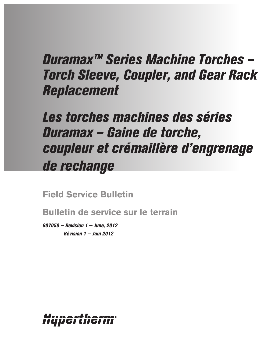# *Duramax™ Series Machine Torches – Torch Sleeve, Coupler, and Gear Rack Replacement*

# *Les torches machines des séries Duramax – Gaine de torche, coupleur et crémaillère d'engrenage de rechange*

**Field Service Bulletin**

**Bulletin de service sur le terrain**

*807050 — Revision 1 — June, 2012 Révision 1 — Juin 2012*

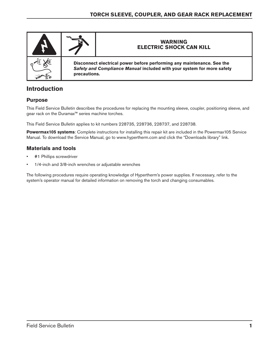

# **Introduction**

## **Purpose**

This Field Service Bulletin describes the procedures for replacing the mounting sleeve, coupler, positioning sleeve, and gear rack on the Duramax™ series machine torches.

This Field Service Bulletin applies to kit numbers 228735, 228736, 228737, and 228738.

**Powermax105 systems**: Complete instructions for installing this repair kit are included in the Powermax105 Service Manual. To download the Service Manual, go to www.hypertherm.com and click the "Downloads library" link.

## **Materials and tools**

- #1 Phillips screwdriver
- 1/4-inch and 3/8-inch wrenches or adjustable wrenches

The following procedures require operating knowledge of Hypertherm's power supplies. If necessary, refer to the system's operator manual for detailed information on removing the torch and changing consumables.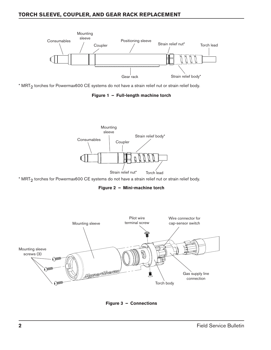## **Torch sleeve, Coupler, and gear rack Replacement**



\* MRT<sub>2</sub> torches for Powermax600 CE systems do not have a strain relief nut or strain relief body.

**Figure 1 – Full-length machine torch**



\* MRT<sub>2</sub> torches for Powermax600 CE systems do not have a strain relief nut or strain relief body.

**Figure 2 – Mini-machine torch**



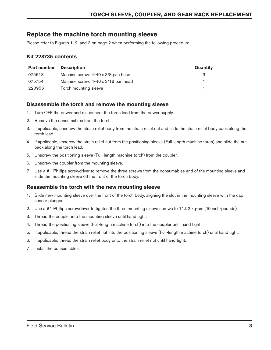## **Replace the machine torch mounting sleeve**

Please refer to Figures 1, 2, and 3 on page 2 when performing the following procedure.

## **Kit 228735 contents**

| <b>Part number</b> | <b>Description</b>                  | Quantity |
|--------------------|-------------------------------------|----------|
| 075618             | Machine screw: 4-40 x 3/8 pan head  | з        |
| 075754             | Machine screw: 4-40 x 3/16 pan head |          |
| 220956             | Torch mounting sleeve               |          |

## **Disassemble the torch and remove the mounting sleeve**

- 1. Turn OFF the power and disconnect the torch lead from the power supply.
- 2. Remove the consumables from the torch.
- 3. If applicable, unscrew the strain relief body from the strain relief nut and slide the strain relief body back along the torch lead.
- 4. If applicable, unscrew the strain relief nut from the positioning sleeve (Full-length machine torch) and slide the nut back along the torch lead.
- 5. Unscrew the positioning sleeve (Full-length machine torch) from the coupler.
- 6. Unscrew the coupler from the mounting sleeve.
- 7. Use a #1 Phillips screwdriver to remove the three screws from the consumables end of the mounting sleeve and slide the mounting sleeve off the front of the torch body.

## **Reassemble the torch with the new mounting sleeve**

- 1. Slide new mounting sleeve over the front of the torch body, aligning the slot in the mounting sleeve with the cap sensor plunger.
- 2. Use a #1 Phillips screwdriver to tighten the three mounting sleeve screws to 11.52 kg-cm (10 inch-pounds).
- 3. Thread the coupler into the mounting sleeve until hand tight.
- 4. Thread the positioning sleeve (Full-length machine torch) into the coupler until hand tight.
- 5. If applicable, thread the strain relief nut into the positioning sleeve (Full-length machine torch) until hand tight.
- 6. If applicable, thread the strain relief body onto the strain relief nut until hand tight.
- 7. Install the consumables.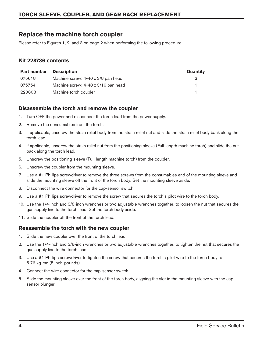# **Replace the machine torch coupler**

Please refer to Figures 1, 2, and 3 on page 2 when performing the following procedure.

## **Kit 228736 contents**

| <b>Part number</b> | <b>Description</b>                  | Quantity |
|--------------------|-------------------------------------|----------|
| 075618             | Machine screw: 4-40 x 3/8 pan head  | з        |
| 075754             | Machine screw: 4-40 x 3/16 pan head |          |
| 220808             | Machine torch coupler               |          |

## **Disassemble the torch and remove the coupler**

- 1. Turn OFF the power and disconnect the torch lead from the power supply.
- 2. Remove the consumables from the torch.
- 3. If applicable, unscrew the strain relief body from the strain relief nut and slide the strain relief body back along the torch lead.
- 4. If applicable, unscrew the strain relief nut from the positioning sleeve (Full-length machine torch) and slide the nut back along the torch lead.
- 5. Unscrew the positioning sleeve (Full-length machine torch) from the coupler.
- 6. Unscrew the coupler from the mounting sleeve.
- 7. Use a #1 Phillips screwdriver to remove the three screws from the consumables end of the mounting sleeve and slide the mounting sleeve off the front of the torch body. Set the mounting sleeve aside.
- 8. Disconnect the wire connector for the cap-sensor switch.
- 9. Use a #1 Phillips screwdriver to remove the screw that secures the torch's pilot wire to the torch body.
- 10. Use the 1/4-inch and 3/8-inch wrenches or two adjustable wrenches together, to loosen the nut that secures the gas supply line to the torch lead. Set the torch body aside.
- 11. Slide the coupler off the front of the torch lead.

### **Reassemble the torch with the new coupler**

- 1. Slide the new coupler over the front of the torch lead.
- 2. Use the 1/4-inch and 3/8-inch wrenches or two adjustable wrenches together, to tighten the nut that secures the gas supply line to the torch lead.
- 3. Use a #1 Phillips screwdriver to tighten the screw that secures the torch's pilot wire to the torch body to 5.76 kg-cm (5 inch-pounds).
- 4. Connect the wire connector for the cap-sensor switch.
- 5. Slide the mounting sleeve over the front of the torch body, aligning the slot in the mounting sleeve with the cap sensor plunger.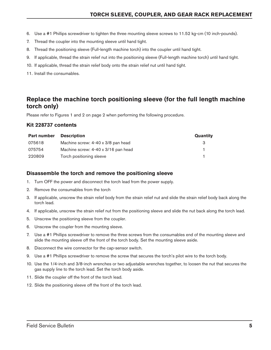- 6. Use a #1 Phillips screwdriver to tighten the three mounting sleeve screws to 11.52 kg-cm (10 inch-pounds).
- 7. Thread the coupler into the mounting sleeve until hand tight.
- 8. Thread the positioning sleeve (Full-length machine torch) into the coupler until hand tight.
- 9. If applicable, thread the strain relief nut into the positioning sleeve (Full-length machine torch) until hand tight.
- 10. If applicable, thread the strain relief body onto the strain relief nut until hand tight.
- 11. Install the consumables.

## **Replace the machine torch positioning sleeve (for the full length machine torch only)**

Please refer to Figures 1 and 2 on page 2 when performing the following procedure.

### **Kit 228737 contents**

| <b>Part number</b> | <b>Description</b>                  | Quantity |
|--------------------|-------------------------------------|----------|
| 075618             | Machine screw: 4-40 x 3/8 pan head  | 3        |
| 075754             | Machine screw: 4-40 x 3/16 pan head |          |
| 220809             | Torch positioning sleeve            |          |

## **Disassemble the torch and remove the positioning sleeve**

- 1. Turn OFF the power and disconnect the torch lead from the power supply.
- 2. Remove the consumables from the torch
- 3. If applicable, unscrew the strain relief body from the strain relief nut and slide the strain relief body back along the torch lead.
- 4. If applicable, unscrew the strain relief nut from the positioning sleeve and slide the nut back along the torch lead.
- 5. Unscrew the positioning sleeve from the coupler.
- 6. Unscrew the coupler from the mounting sleeve.
- 7. Use a #1 Phillips screwdriver to remove the three screws from the consumables end of the mounting sleeve and slide the mounting sleeve off the front of the torch body. Set the mounting sleeve aside.
- 8. Disconnect the wire connector for the cap-sensor switch.
- 9. Use a #1 Phillips screwdriver to remove the screw that secures the torch's pilot wire to the torch body.
- 10. Use the 1/4-inch and 3/8-inch wrenches or two adjustable wrenches together, to loosen the nut that secures the gas supply line to the torch lead. Set the torch body aside.
- 11. Slide the coupler off the front of the torch lead.
- 12. Slide the positioning sleeve off the front of the torch lead.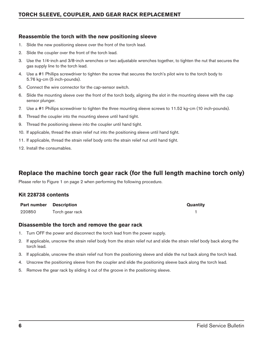## **Reassemble the torch with the new positioning sleeve**

- 1. Slide the new positioning sleeve over the front of the torch lead.
- 2. Slide the coupler over the front of the torch lead.
- 3. Use the 1/4-inch and 3/8-inch wrenches or two adjustable wrenches together, to tighten the nut that secures the gas supply line to the torch lead.
- 4. Use a #1 Phillips screwdriver to tighten the screw that secures the torch's pilot wire to the torch body to 5.76 kg-cm (5 inch-pounds).
- 5. Connect the wire connector for the cap-sensor switch.
- 6. Slide the mounting sleeve over the front of the torch body, aligning the slot in the mounting sleeve with the cap sensor plunger.
- 7. Use a #1 Phillips screwdriver to tighten the three mounting sleeve screws to 11.52 kg-cm (10 inch-pounds).
- 8. Thread the coupler into the mounting sleeve until hand tight.
- 9. Thread the positioning sleeve into the coupler until hand tight.
- 10. If applicable, thread the strain relief nut into the positioning sleeve until hand tight.
- 11. If applicable, thread the strain relief body onto the strain relief nut until hand tight.
- 12. Install the consumables.

## **Replace the machine torch gear rack (for the full length machine torch only)**

Please refer to Figure 1 on page 2 when performing the following procedure.

### **Kit 228738 contents**

| <b>Part number Description</b> |                 | Quantity |
|--------------------------------|-----------------|----------|
| 220850                         | Torch gear rack |          |

### **Disassemble the torch and remove the gear rack**

- 1. Turn OFF the power and disconnect the torch lead from the power supply.
- 2. If applicable, unscrew the strain relief body from the strain relief nut and slide the strain relief body back along the torch lead.
- 3. If applicable, unscrew the strain relief nut from the positioning sleeve and slide the nut back along the torch lead.
- 4. Unscrew the positioning sleeve from the coupler and slide the positioning sleeve back along the torch lead.
- 5. Remove the gear rack by sliding it out of the groove in the positioning sleeve.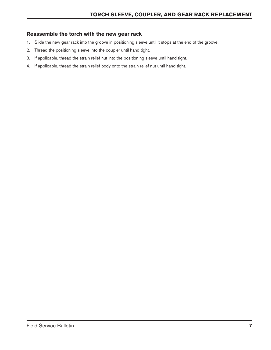## **Reassemble the torch with the new gear rack**

- 1. Slide the new gear rack into the groove in positioning sleeve until it stops at the end of the groove.
- 2. Thread the positioning sleeve into the coupler until hand tight.
- 3. If applicable, thread the strain relief nut into the positioning sleeve until hand tight.
- 4. If applicable, thread the strain relief body onto the strain relief nut until hand tight.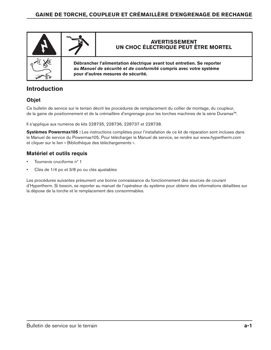

# **Introduction**

## **Objet**

Ce bulletin de service sur le terrain décrit les procédures de remplacement du collier de montage, du coupleur, de la gaine de positionnement et de la crémaillère d'engrenage pour les torches machines de la série Duramax™.

Il s'applique aux numéros de kits 228735, 228736, 228737 et 228738.

**Systèmes Powermax105 :** Les instructions complètes pour l'installation de ce kit de réparation sont incluses dans le Manuel de service du Powermax105. Pour télécharger le Manuel de service, se rendre sur www.hypertherm.com et cliquer sur le lien « Bibliothèque des téléchargements ».

## **Matériel et outils requis**

- Tournevis cruciforme n° 1
- Clés de 1/4 po et 3/8 po ou clés ajustables

Les procédures suivantes présument une bonne connaissance du fonctionnement des sources de courant d'Hypertherm. Si besoin, se reporter au manuel de l'opérateur du système pour obtenir des informations détaillées sur la dépose de la torche et le remplacement des consommables.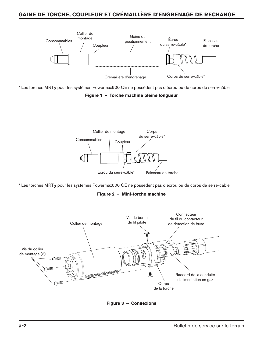## **Gaine de torche, coupleur et crémaillère d'engrenage de rechange**



\* Les torches MRT<sub>2</sub> pour les systèmes Powermax600 CE ne possèdent pas d'écrou ou de corps de serre-câble.

**Figure 1 – Torche machine pleine longueur**



\* Les torches MRT<sub>2</sub> pour les systèmes Powermax600 CE ne possèdent pas d'écrou ou de corps de serre-câble.

**Figure 2 – Mini-torche machine**



**Figure 3 – Connexions**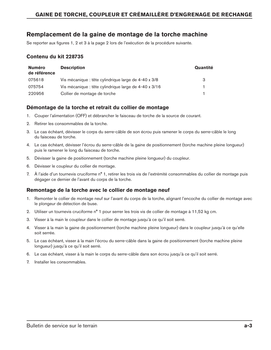## **Remplacement de la gaine de montage de la torche machine**

Se reporter aux figures 1, 2 et 3 à la page 2 lors de l'exécution de la procédure suivante.

### **Contenu du kit 228735**

| <b>Numéro</b><br>de référence | <b>Description</b>                                    | Quantité |
|-------------------------------|-------------------------------------------------------|----------|
| 075618                        | Vis mécanique : tête cylindrique large de 4-40 x 3/8  | З        |
| 075754                        | Vis mécanique : tête cylindrique large de 4-40 x 3/16 |          |
| 220956                        | Collier de montage de torche                          |          |

## **Démontage de la torche et retrait du collier de montage**

- 1. Couper l'alimentation (OFF) et débrancher le faisceau de torche de la source de courant.
- 2. Retirer les consommables de la torche.
- 3. Le cas échéant, dévisser le corps du serre-câble de son écrou puis ramener le corps du serre-câble le long du faisceau de torche.
- 4. Le cas échéant, dévisser l'écrou du serre-câble de la gaine de positionnement (torche machine pleine longueur) puis le ramener le long du faisceau de torche.
- 5. Dévisser la gaine de positionnement (torche machine pleine longueur) du coupleur.
- 6. Dévisser le coupleur du collier de montage.
- 7. À l'aide d'un tournevis cruciforme n° 1, retirer les trois vis de l'extrémité consommables du collier de montage puis dégager ce dernier de l'avant du corps de la torche.

## **Remontage de la torche avec le collier de montage neuf**

- 1. Remonter le collier de montage neuf sur l'avant du corps de la torche, alignant l'encoche du collier de montage avec le plongeur de détection de buse.
- 2. Utiliser un tournevis cruciforme n° 1 pour serrer les trois vis de collier de montage à 11,52 kg cm.
- 3. Visser à la main le coupleur dans le collier de montage jusqu'à ce qu'il soit serré.
- 4. Visser à la main la gaine de positionnement (torche machine pleine longueur) dans le coupleur jusqu'à ce qu'elle soit serrée.
- 5. Le cas échéant, visser à la main l'écrou du serre-câble dans la gaine de positionnement (torche machine pleine longueur) jusqu'à ce qu'il soit serré.
- 6. Le cas échéant, visser à la main le corps du serre-câble dans son écrou jusqu'à ce qu'il soit serré.
- 7. Installer les consommables.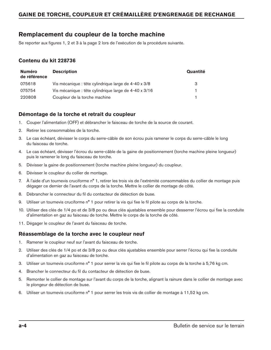## **Remplacement du coupleur de la torche machine**

Se reporter aux figures 1, 2 et 3 à la page 2 lors de l'exécution de la procédure suivante.

## **Contenu du kit 228736**

| <b>Numéro</b><br>de référence | <b>Description</b>                                    | Quantité |
|-------------------------------|-------------------------------------------------------|----------|
| 075618                        | Vis mécanique : tête cylindrique large de 4-40 x 3/8  | 3        |
| 075754                        | Vis mécanique : tête cylindrique large de 4-40 x 3/16 |          |
| 220808                        | Coupleur de la torche machine                         |          |

## **Démontage de la torche et retrait du coupleur**

- 1. Couper l'alimentation (OFF) et débrancher le faisceau de torche de la source de courant.
- 2. Retirer les consommables de la torche.
- 3. Le cas échéant, dévisser le corps du serre-câble de son écrou puis ramener le corps du serre-câble le long du faisceau de torche.
- 4. Le cas échéant, dévisser l'écrou du serre-câble de la gaine de positionnement (torche machine pleine longueur) puis le ramener le long du faisceau de torche.
- 5. Dévisser la gaine de positionnement (torche machine pleine longueur) du coupleur.
- 6. Dévisser le coupleur du collier de montage.
- 7. À l'aide d'un tournevis cruciforme n° 1, retirer les trois vis de l'extrémité consommables du collier de montage puis dégager ce dernier de l'avant du corps de la torche. Mettre le collier de montage de côté.
- 8. Débrancher le connecteur du fil du contacteur de détection de buse.
- 9. Utiliser un tournevis cruciforme n<sup>o</sup> 1 pour retirer la vis qui fixe le fil pilote au corps de la torche.
- 10. Utiliser des clés de 1/4 po et de 3/8 po ou deux clés ajustables ensemble pour desserrer l'écrou qui fixe la conduite d'alimentation en gaz au faisceau de torche. Mettre le corps de la torche de côté.
- 11. Dégager le coupleur de l'avant du faisceau de torche.

### **Réassemblage de la torche avec le coupleur neuf**

- 1. Ramener le coupleur neuf sur l'avant du faisceau de torche.
- 2. Utiliser des clés de 1/4 po et de 3/8 po ou deux clés ajustables ensemble pour serrer l'écrou qui fixe la conduite d'alimentation en gaz au faisceau de torche.
- 3. Utiliser un tournevis cruciforme n° 1 pour serrer la vis qui fixe le fil pilote au corps de la torche à 5,76 kg cm.
- 4. Brancher le connecteur du fil du contacteur de détection de buse.
- 5. Remonter le collier de montage sur l'avant du corps de la torche, alignant la rainure dans le collier de montage avec le plongeur de détection de buse.
- 6. Utiliser un tournevis cruciforme n° 1 pour serrer les trois vis de collier de montage à 11,52 kg cm.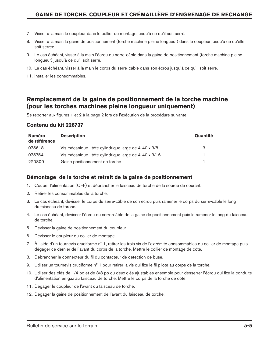- 7. Visser à la main le coupleur dans le collier de montage jusqu'à ce qu'il soit serré.
- 8. Visser à la main la gaine de positionnement (torche machine pleine longueur) dans le coupleur jusqu'à ce qu'elle soit serrée.
- 9. Le cas échéant, visser à la main l'écrou du serre-câble dans la gaine de positionnement (torche machine pleine longueur) jusqu'à ce qu'il soit serré.
- 10. Le cas échéant, visser à la main le corps du serre-câble dans son écrou jusqu'à ce qu'il soit serré.
- 11. Installer les consommables.

## **Remplacement de la gaine de positionnement de la torche machine (pour les torches machines pleine longueur uniquement)**

Se reporter aux figures 1 et 2 à la page 2 lors de l'exécution de la procédure suivante.

#### **Contenu du kit 228737**

| <b>Numéro</b><br>de référence | <b>Description</b>                                    | Quantité |
|-------------------------------|-------------------------------------------------------|----------|
| 075618                        | Vis mécanique : tête cylindrique large de 4-40 x 3/8  | -3       |
| 075754                        | Vis mécanique : tête cylindrique large de 4-40 x 3/16 |          |
| 220809                        | Gaine positionnement de torche                        |          |

### **Démontage de la torche et retrait de la gaine de positionnement**

- 1. Couper l'alimentation (OFF) et débrancher le faisceau de torche de la source de courant.
- 2. Retirer les consommables de la torche.
- 3. Le cas échéant, dévisser le corps du serre-câble de son écrou puis ramener le corps du serre-câble le long du faisceau de torche.
- 4. Le cas échéant, dévisser l'écrou du serre-câble de la gaine de positionnement puis le ramener le long du faisceau de torche.
- 5. Dévisser la gaine de positionnement du coupleur.
- 6. Dévisser le coupleur du collier de montage.
- 7. À l'aide d'un tournevis cruciforme n° 1, retirer les trois vis de l'extrémité consommables du collier de montage puis dégager ce dernier de l'avant du corps de la torche. Mettre le collier de montage de côté.
- 8. Débrancher le connecteur du fil du contacteur de détection de buse.
- 9. Utiliser un tournevis cruciforme n° 1 pour retirer la vis qui fixe le fil pilote au corps de la torche.
- 10. Utiliser des clés de 1/4 po et de 3/8 po ou deux clés ajustables ensemble pour desserrer l'écrou qui fixe la conduite d'alimentation en gaz au faisceau de torche. Mettre le corps de la torche de côté.
- 11. Dégager le coupleur de l'avant du faisceau de torche.
- 12. Dégager la gaine de positionnement de l'avant du faisceau de torche.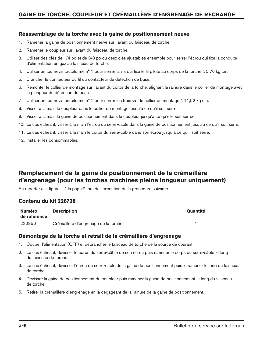## **Réassemblage de la torche avec la gaine de positionnement neuve**

- 1. Ramener la gaine de positionnement neuve sur l'avant du faisceau de torche.
- 2. Ramener le coupleur sur l'avant du faisceau de torche.
- 3. Utiliser des clés de 1/4 po et de 3/8 po ou deux clés ajustables ensemble pour serrer l'écrou qui fixe la conduite d'alimentation en gaz au faisceau de torche.
- 4. Utiliser un tournevis cruciforme n° 1 pour serrer la vis qui fixe le fil pilote au corps de la torche à 5,76 kg cm.
- 5. Brancher le connecteur du fil du contacteur de détection de buse.
- 6. Remonter le collier de montage sur l'avant du corps de la torche, alignant la rainure dans le collier de montage avec le plongeur de détection de buse.
- 7. Utiliser un tournevis cruciforme n° 1 pour serrer les trois vis de collier de montage à 11,52 kg cm.
- 8. Visser à la main le coupleur dans le collier de montage jusqu'à ce qu'il soit serré.
- 9. Visser à la main la gaine de positionnement dans le coupleur jusqu'à ce qu'elle soit serrée.
- 10. Le cas échéant, visser à la main l'écrou du serre-câble dans la gaine de positionnement jusqu'à ce qu'il soit serré.
- 11. Le cas échéant, visser à la main le corps du serre-câble dans son écrou jusqu'à ce qu'il soit serré.
- 12. Installer les consommables.

# **Remplacement de la gaine de positionnement de la crémaillère d'engrenage (pour les torches machines pleine longueur uniquement)**

Se reporter à la figure 1 à la page 2 lors de l'exécution de la procédure suivante.

### **Contenu du kit 228738**

| <b>Numéro</b><br>de référence | <b>Description</b>                   | Quantité |
|-------------------------------|--------------------------------------|----------|
| 220850                        | Crémaillère d'engrenage de la torche |          |

### **Démontage de la torche et retrait de la crémaillère d'engrenage**

- 1. Couper l'alimentation (OFF) et débrancher le faisceau de torche de la source de courant.
- 2. Le cas échéant, dévisser le corps du serre-câble de son écrou puis ramener le corps du serre-câble le long du faisceau de torche.
- 3. Le cas échéant, dévisser l'écrou du serre-câble de la gaine de positionnement puis le ramener le long du faisceau de torche.
- 4. Dévisser la gaine de positionnement du coupleur puis ramener la gaine de positionnement le long du faisceau de torche.
- 5. Retirer la crémaillère d'engrenage en la dégageant de la rainure de la gaine de positionnement.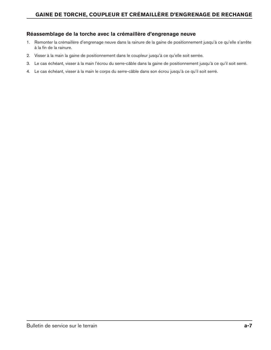## **Réassemblage de la torche avec la crémaillère d'engrenage neuve**

- 1. Remonter la crémaillère d'engrenage neuve dans la rainure de la gaine de positionnement jusqu'à ce qu'elle s'arrête à la fin de la rainure.
- 2. Visser à la main la gaine de positionnement dans le coupleur jusqu'à ce qu'elle soit serrée.
- 3. Le cas échéant, visser à la main l'écrou du serre-câble dans la gaine de positionnement jusqu'à ce qu'il soit serré.
- 4. Le cas échéant, visser à la main le corps du serre-câble dans son écrou jusqu'à ce qu'il soit serré.